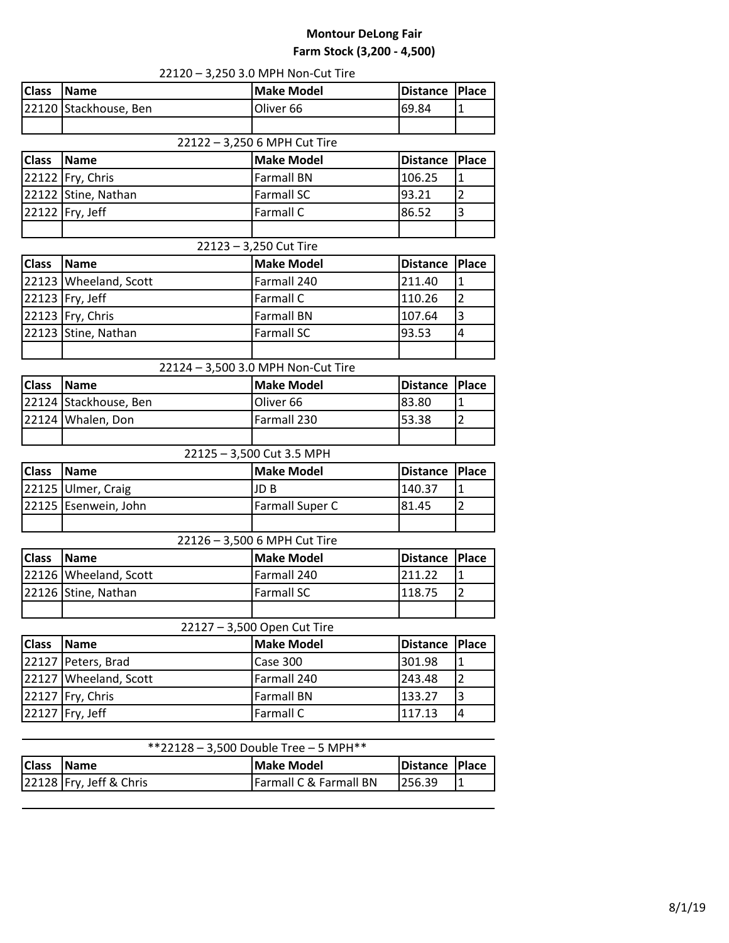## **Montour DeLong Fair Farm Stock (3,200 - 4,500)**

|              |                           | 22120 - 3,250 3.0 MPH Non-Cut Tire    |                 |                |
|--------------|---------------------------|---------------------------------------|-----------------|----------------|
| <b>Class</b> | <b>Name</b>               | <b>Make Model</b>                     | <b>Distance</b> | <b>Place</b>   |
|              | 22120 Stackhouse, Ben     | Oliver <sub>66</sub>                  | 69.84           | $\mathbf{1}$   |
|              |                           |                                       |                 |                |
|              |                           | 22122 - 3,250 6 MPH Cut Tire          |                 |                |
| <b>Class</b> | <b>Name</b>               | <b>Make Model</b>                     | <b>Distance</b> | <b>Place</b>   |
|              | 22122   Fry, Chris        | <b>Farmall BN</b>                     | 106.25          | 1              |
|              | 22122 Stine, Nathan       | <b>Farmall SC</b>                     | 93.21           | $\overline{2}$ |
|              | 22122   Fry, Jeff         | Farmall C                             | 86.52           | 3              |
|              |                           |                                       |                 |                |
|              |                           | 22123 - 3,250 Cut Tire                |                 |                |
| <b>Class</b> | <b>Name</b>               | <b>Make Model</b>                     | <b>Distance</b> | <b>Place</b>   |
|              | 22123 Wheeland, Scott     | Farmall 240                           | 211.40          | $\mathbf{1}$   |
|              | 22123 Fry, Jeff           | Farmall C                             | 110.26          | $\overline{2}$ |
|              | 22123 Fry, Chris          | <b>Farmall BN</b>                     | 107.64          | 3              |
| 22123        | Stine, Nathan             | <b>Farmall SC</b>                     | 93.53           | 4              |
|              |                           |                                       |                 |                |
|              |                           | 22124 - 3,500 3.0 MPH Non-Cut Tire    |                 |                |
| <b>Class</b> | <b>Name</b>               | <b>Make Model</b>                     | <b>Distance</b> | <b>Place</b>   |
|              | 22124 Stackhouse, Ben     | Oliver 66                             | 83.80           | $\mathbf{1}$   |
| 22124        | Whalen, Don               | Farmall 230                           | 53.38           | $\overline{2}$ |
|              |                           |                                       |                 |                |
|              |                           | 22125 - 3,500 Cut 3.5 MPH             |                 |                |
| <b>Class</b> | <b>Name</b>               | <b>Make Model</b>                     | <b>Distance</b> | <b>Place</b>   |
|              | 22125 Ulmer, Craig        | JD <sub>B</sub>                       | 140.37          | $\mathbf{1}$   |
| 22125        | Esenwein, John            | Farmall Super C                       | 81.45           | $\overline{2}$ |
|              |                           |                                       |                 |                |
|              |                           | 22126 - 3,500 6 MPH Cut Tire          |                 |                |
| <b>Class</b> | <b>Name</b>               | <b>Make Model</b>                     | <b>Distance</b> | <b>Place</b>   |
|              | 22126   Wheeland, Scott   | Farmall 240                           | 211.22          | $\mathbf{1}$   |
|              | 22126 Stine, Nathan       | <b>Farmall SC</b>                     | 118.75          | $\overline{2}$ |
|              |                           |                                       |                 |                |
|              |                           | 22127 - 3,500 Open Cut Tire           |                 |                |
| <b>Class</b> | <b>Name</b>               | <b>Make Model</b>                     | <b>Distance</b> | <b>Place</b>   |
| 22127        | Peters, Brad              | Case 300                              | 301.98          | $\mathbf{1}$   |
|              | 22127 Wheeland, Scott     | Farmall 240                           | 243.48          | $\overline{2}$ |
| 22127        | Fry, Chris                | <b>Farmall BN</b>                     | 133.27          | 3              |
| 22127        | Fry, Jeff                 | Farmall C                             | 117.13          | $\overline{4}$ |
|              |                           |                                       |                 |                |
|              |                           | **22128 - 3,500 Double Tree - 5 MPH** |                 |                |
| <b>Class</b> | <b>Name</b>               | <b>Make Model</b>                     | <b>Distance</b> | <b>Place</b>   |
|              | 22128   Fry, Jeff & Chris | Farmall C & Farmall BN                | 256.39          | $\mathbf{1}$   |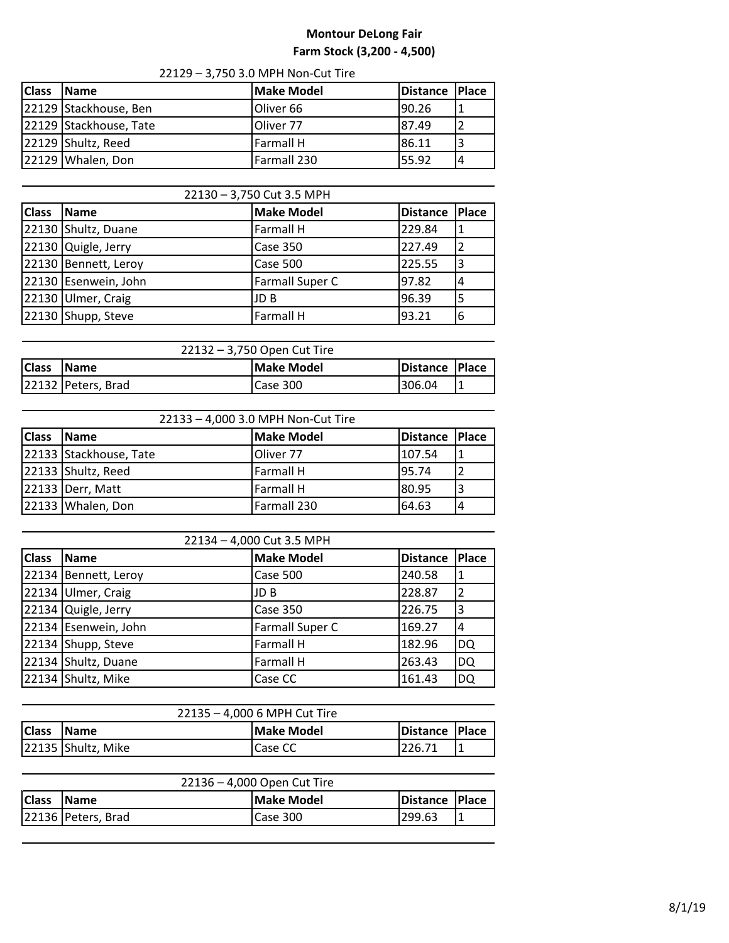## **Montour DeLong Fair Farm Stock (3,200 - 4,500)**

| <b>Class</b> | <b>Name</b>            | <b>Make Model</b>    | Distance Place |  |
|--------------|------------------------|----------------------|----------------|--|
|              | 22129 Stackhouse, Ben  | Oliver <sub>66</sub> | 90.26          |  |
|              | 22129 Stackhouse, Tate | Oliver 77            | 87.49          |  |
|              | 22129 Shultz, Reed     | <b>Farmall H</b>     | 86.11          |  |
|              | 22129 Whalen, Don      | Farmall 230          | 55.92          |  |

| 22130 - 3,750 Cut 3.5 MPH |                      |                        |                 |       |
|---------------------------|----------------------|------------------------|-----------------|-------|
| <b>Class</b>              | <b>Name</b>          | <b>Make Model</b>      | <b>Distance</b> | Place |
|                           | 22130 Shultz, Duane  | <b>Farmall H</b>       | 229.84          |       |
|                           | 22130 Quigle, Jerry  | Case 350               | 227.49          |       |
|                           | 22130 Bennett, Leroy | Case 500               | 225.55          | 3     |
|                           | 22130 Esenwein, John | <b>Farmall Super C</b> | 97.82           | 14    |
|                           | 22130 Ulmer, Craig   | JD B                   | 96.39           | '5    |
|                           | 22130 Shupp, Steve   | <b>Farmall H</b>       | 93.21           | 6     |

| 22132 - 3,750 Open Cut Tire |                    |                   |                  |  |
|-----------------------------|--------------------|-------------------|------------------|--|
| <b>Class</b>                | <b>Name</b>        | <b>Make Model</b> | Distance   Place |  |
|                             | 22132 Peters, Brad | Case 300          | 306.04           |  |

| 22133 - 4,000 3.0 MPH Non-Cut Tire |                        |                   |                  |  |  |
|------------------------------------|------------------------|-------------------|------------------|--|--|
| <b>Class</b>                       | <b>Name</b>            | <b>Make Model</b> | Distance   Place |  |  |
|                                    | 22133 Stackhouse, Tate | Oliver 77         | 107.54           |  |  |
|                                    | 22133 Shultz, Reed     | <b>Farmall H</b>  | 95.74            |  |  |
|                                    | 22133 Derr, Matt       | <b>Farmall H</b>  | 80.95            |  |  |
|                                    | 22133 Whalen, Don      | Farmall 230       | 64.63            |  |  |

| 22134 - 4,000 Cut 3.5 MPH |                      |                   |                 |           |
|---------------------------|----------------------|-------------------|-----------------|-----------|
| <b>Class</b>              | <b>Name</b>          | <b>Make Model</b> | <b>Distance</b> | Place     |
|                           | 22134 Bennett, Leroy | Case 500          | 240.58          | T         |
|                           | 22134 Ulmer, Craig   | JD B              | 228.87          |           |
|                           | 22134 Quigle, Jerry  | <b>Case 350</b>   | 226.75          | 3         |
|                           | 22134 Esenwein, John | Farmall Super C   | 169.27          | 4         |
|                           | 22134 Shupp, Steve   | <b>Farmall H</b>  | 182.96          | DQ        |
|                           | 22134 Shultz, Duane  | <b>Farmall H</b>  | 263.43          | DQ        |
|                           | 22134 Shultz, Mike   | Case CC           | 161.43          | <b>DQ</b> |

| 22135 - 4,000 6 MPH Cut Tire |                    |                |                  |  |
|------------------------------|--------------------|----------------|------------------|--|
| <b>Class</b>                 | <b>IName</b>       | Make Model     | Distance   Place |  |
|                              | 22135 Shultz, Mike | <b>Case CC</b> | 226.71           |  |

| 22136 – 4,000 Open Cut Tire |                    |            |                |  |
|-----------------------------|--------------------|------------|----------------|--|
| <b>Class</b>                | <b>IName</b>       | Make Model | Distance Place |  |
|                             | 22136 Peters, Brad | Case 300   | 299.63         |  |